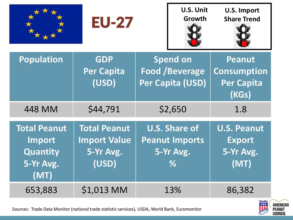|                                                                | <b>EU-27</b>                                                     |                                                                    |     | <b>U.S. Import</b><br><b>Share Trend</b>                          |
|----------------------------------------------------------------|------------------------------------------------------------------|--------------------------------------------------------------------|-----|-------------------------------------------------------------------|
| <b>Population</b>                                              | <b>GDP</b><br><b>Per Capita</b><br>(USD)                         | <b>Spend on</b><br><b>Food /Beverage</b><br>Per Capita (USD)       |     | <b>Peanut</b><br><b>Consumption</b><br><b>Per Capita</b><br>(KGs) |
| <b>448 MM</b>                                                  | \$44,791                                                         | \$2,650                                                            |     | 1.8                                                               |
| <b>Total Peanut</b><br>Import<br>Quantity<br>5-Yr Avg.<br>(MT) | <b>Total Peanut</b><br><b>Import Value</b><br>5-Yr Avg.<br>(USD) | <b>U.S. Share of</b><br><b>Peanut Imports</b><br>5-Yr Avg.<br>$\%$ |     | <b>U.S. Peanut</b><br><b>Export</b><br>5-Yr Avg.<br>(MT)          |
| 653,883                                                        | \$1,013 MM                                                       |                                                                    | 13% | 86,382                                                            |



Sources: Trade Data Monitor (national trade statistic services), USDA, World Bank, Euromonitor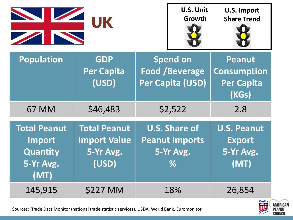|                                                                | UK                                                               | <b>U.S. Unit</b><br>Growth                                         | <b>U.S. Import</b><br><b>Share Trend</b> |                                                                   |
|----------------------------------------------------------------|------------------------------------------------------------------|--------------------------------------------------------------------|------------------------------------------|-------------------------------------------------------------------|
| <b>Population</b>                                              | <b>GDP</b><br><b>Per Capita</b><br>(USD)                         | <b>Spend on</b><br><b>Food /Beverage</b><br>Per Capita (USD)       |                                          | <b>Peanut</b><br><b>Consumption</b><br><b>Per Capita</b><br>(KGs) |
| <b>67 MM</b>                                                   | \$46,483                                                         | \$2,522                                                            |                                          | 2.8                                                               |
| <b>Total Peanut</b><br>Import<br>Quantity<br>5-Yr Avg.<br>(MT) | <b>Total Peanut</b><br><b>Import Value</b><br>5-Yr Avg.<br>(USD) | <b>U.S. Share of</b><br><b>Peanut Imports</b><br>5-Yr Avg.<br>$\%$ |                                          | <b>U.S. Peanut</b><br><b>Export</b><br>5-Yr Avg.<br>(MT)          |
| 145,915                                                        | <b>\$227 MM</b>                                                  | 18%                                                                |                                          | 26,854                                                            |



Sources: Trade Data Monitor (national trade statistic services), USDA, World Bank, Euromonitor